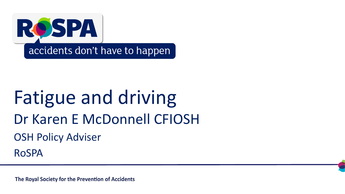

## OSH Policy Adviser Fatigue and driving Dr Karen E McDonnell CFIOSH

RoSPA

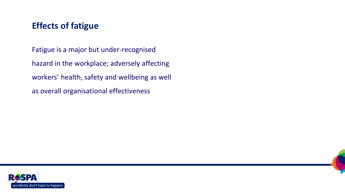#### **Effects of fatigue**

Fatigue is a major but under-recognised hazard in the workplace; adversely affecting workers' health, safety and wellbeing as well as overall organisational effectiveness



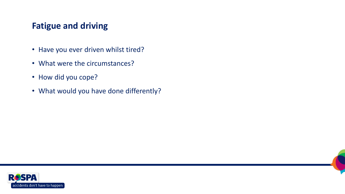#### **Fatigue and driving**

- Have you ever driven whilst tired?
- What were the circumstances?
- How did you cope?
- What would you have done differently?

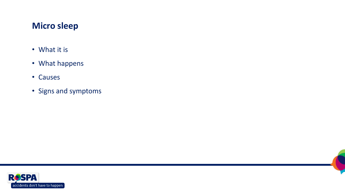#### **Micro sleep**

- What it is
- What happens
- Causes
- Signs and symptoms

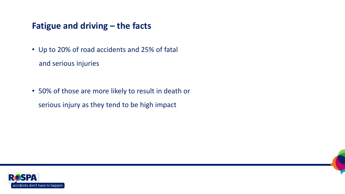#### **Fatigue and driving – the facts**

- Up to 20% of road accidents and 25% of fatal and serious injuries
- 50% of those are more likely to result in death or serious injury as they tend to be high impact



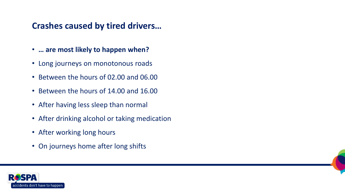#### **Crashes caused by tired drivers…**

- **… are most likely to happen when?**
- Long journeys on monotonous roads
- Between the hours of 02.00 and 06.00
- Between the hours of 14.00 and 16.00
- After having less sleep than normal
- After drinking alcohol or taking medication
- After working long hours
- On journeys home after long shifts

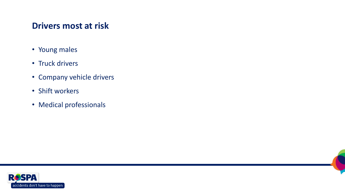#### **Drivers most at risk**

- Young males
- Truck drivers
- Company vehicle drivers
- Shift workers
- Medical professionals



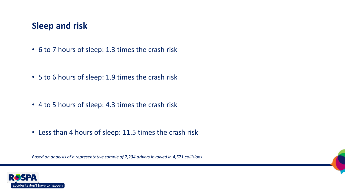#### **Sleep and risk**

• 6 to 7 hours of sleep: 1.3 times the crash risk

- 5 to 6 hours of sleep: 1.9 times the crash risk
- 4 to 5 hours of sleep: 4.3 times the crash risk
- Less than 4 hours of sleep: 11.5 times the crash risk

*Based on analysis of a representative sample of 7,234 drivers involved in 4,571 collisions*

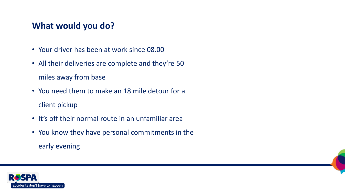#### **What would you do?**

- Your driver has been at work since 08.00
- All their deliveries are complete and they're 50 miles away from base
- You need them to make an 18 mile detour for a client pickup
- It's off their normal route in an unfamiliar area
- You know they have personal commitments in the early evening

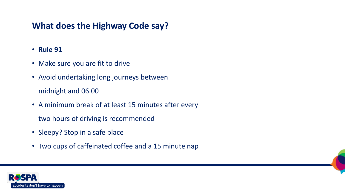#### **What does the Highway Code say?**

- **Rule 91**
- Make sure you are fit to drive
- Avoid undertaking long journeys between midnight and 06.00
- A minimum break of at least 15 minutes after every
	- two hours of driving is recommended
- Sleepy? Stop in a safe place
- Two cups of caffeinated coffee and a 15 minute nap

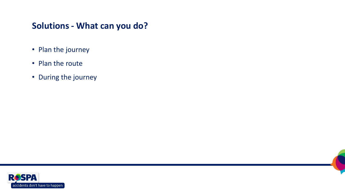#### **Solutions - What can you do?**

- Plan the journey
- Plan the route
- During the journey

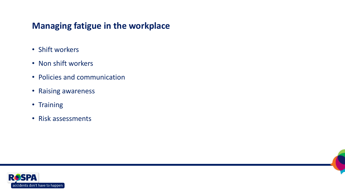#### **Managing fatigue in the workplace**

- Shift workers
- Non shift workers
- Policies and communication
- Raising awareness
- Training
- Risk assessments

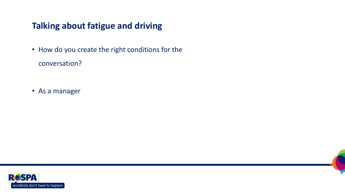#### **Talking about fatigue and driving**

• How do you create the right conditions for the conversation?

• As a manager

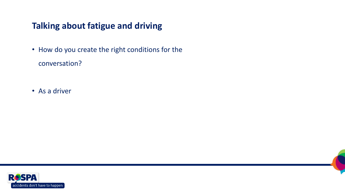#### **Talking about fatigue and driving**

• How do you create the right conditions for the conversation?

• As a driver

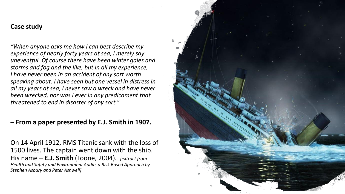#### **Case study**

*"When anyone asks me how I can best describe my experience of nearly forty years at sea, I merely say uneventful. Of course there have been winter gales and storms and fog and the like, but in all my experience, I have never been in an accident of any sort worth speaking about. I have seen but one vessel in distress in all my years at sea, I never saw a wreck and have never been wrecked, nor was I ever in any predicament that threatened to end in disaster of any sort."*

#### **– From a paper presented by E.J. Smith in 1907.**

On 14 April 1912, RMS Titanic sank with the loss of 1500 lives. The captain went down with the ship. His name – **E.J. Smith** (Toone, 2004). *[extract from Health and Safety and Environment Audits a Risk Based Approach by Stephen Asbury and Peter Ashwell]*

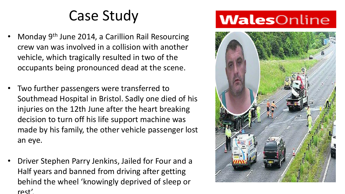### Case Study

- Monday 9th June 2014, a Carillion Rail Resourcing crew van was involved in a collision with another vehicle, which tragically resulted in two of the occupants being pronounced dead at the scene.
- Two further passengers were transferred to Southmead Hospital in Bristol. Sadly one died of his injuries on the 12th June after the heart breaking decision to turn off his life support machine was made by his family, the other vehicle passenger lost an eye.
- Driver Stephen Parry Jenkins, Jailed for Four and a Half years and banned from driving after getting behind the wheel 'knowingly deprived of sleep or rest'.

### **Wales**Online

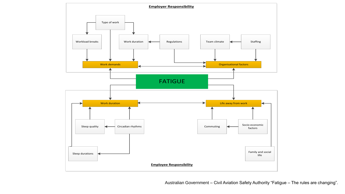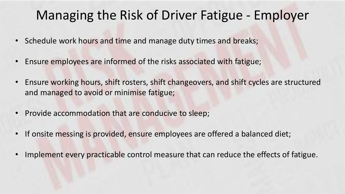### Managing the Risk of Driver Fatigue - Employer

- Schedule work hours and time and manage duty times and breaks;
- Ensure employees are informed of the risks associated with fatigue;
- Ensure working hours, shift rosters, shift changeovers, and shift cycles are structured and managed to avoid or minimise fatigue;
- Provide accommodation that are conducive to sleep;
- If onsite messing is provided, ensure employees are offered a balanced diet;
- Implement every practicable control measure that can reduce the effects of fatigue.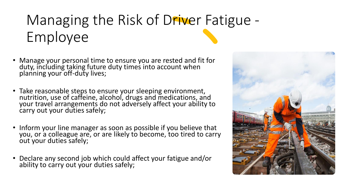### Managing the Risk of Driver Fatigue -Employee

- Manage your personal time to ensure you are rested and fit for duty, including taking future duty times into account when planning your off-duty lives;
- Take reasonable steps to ensure your sleeping environment, nutrition, use of caffeine, alcohol, drugs and medications, and your travel arrangements do not adversely affect your ability to carry out your duties safely;
- Inform your line manager as soon as possible if you believe that you, or a colleague are, or are likely to become, too tired to carry out your duties safely;
- Declare any second job which could affect your fatigue and/or ability to carry out your duties safely;

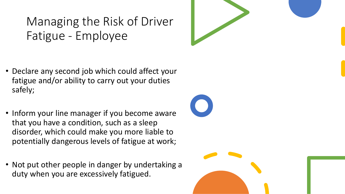Managing the Risk of Driver Fatigue - Employee

- Declare any second job which could affect your fatigue and/or ability to carry out your duties safely;
- Inform your line manager if you become aware that you have a condition, such as a sleep disorder, which could make you more liable to potentially dangerous levels of fatigue at work;
- Not put other people in danger by undertaking a duty when you are excessively fatigued.

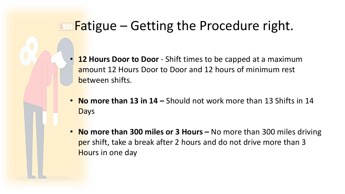### **Fatigue – Getting the Procedure right.**

- **12 Hours Door to Door** Shift times to be capped at a maximum amount 12 Hours Door to Door and 12 hours of minimum rest between shifts.
- **No more than 13 in 14 –** Should not work more than 13 Shifts in 14 **Days**
- **No more than 300 miles or 3 Hours –** No more than 300 miles driving per shift, take a break after 2 hours and do not drive more than 3 Hours in one day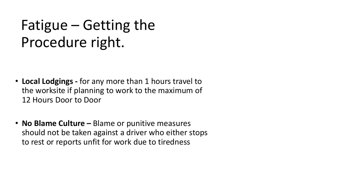### Fatigue – Getting the Procedure right.

- **Local Lodgings -** for any more than 1 hours travel to the worksite if planning to work to the maximum of 12 Hours Door to Door
- **No Blame Culture –** Blame or punitive measures should not be taken against a driver who either stops to rest or reports unfit for work due to tiredness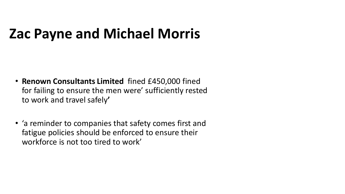### **Zac Payne and Michael Morris**

- **Renown Consultants Limited** fined £450,000 fined for failing to ensure the men were' sufficiently rested to work and travel safely**'**
- 'a reminder to companies that safety comes first and fatigue policies should be enforced to ensure their workforce is not too tired to work'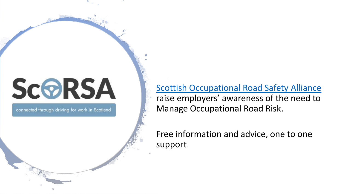# **SCORSA**

connected through driving for work in Scotland

[Scottish Occupational Road Safety Alliance](https://www.scorsa.org.uk/)  raise employers' awareness of the need to Manage Occupational Road Risk.

Free information and advice, one to one support